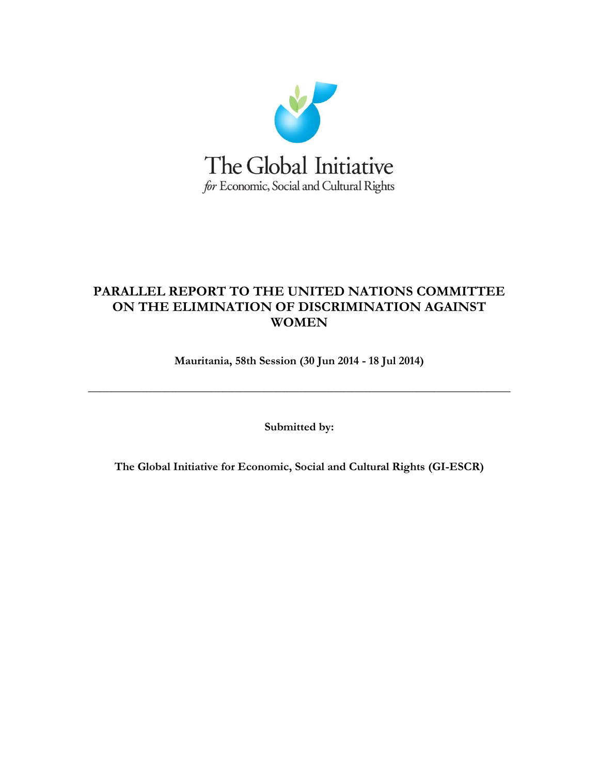

# **PARALLEL REPORT TO THE UNITED NATIONS COMMITTEE ON THE ELIMINATION OF DISCRIMINATION AGAINST WOMEN**

**Mauritania, 58th Session (30 Jun 2014 - 18 Jul 2014)**

**\_\_\_\_\_\_\_\_\_\_\_\_\_\_\_\_\_\_\_\_\_\_\_\_\_\_\_\_\_\_\_\_\_\_\_\_\_\_\_\_\_\_\_\_\_\_\_\_\_\_\_\_\_\_\_\_\_\_\_\_\_\_\_\_\_\_\_\_\_\_\_\_**

**Submitted by:** 

**The Global Initiative for Economic, Social and Cultural Rights (GI-ESCR)**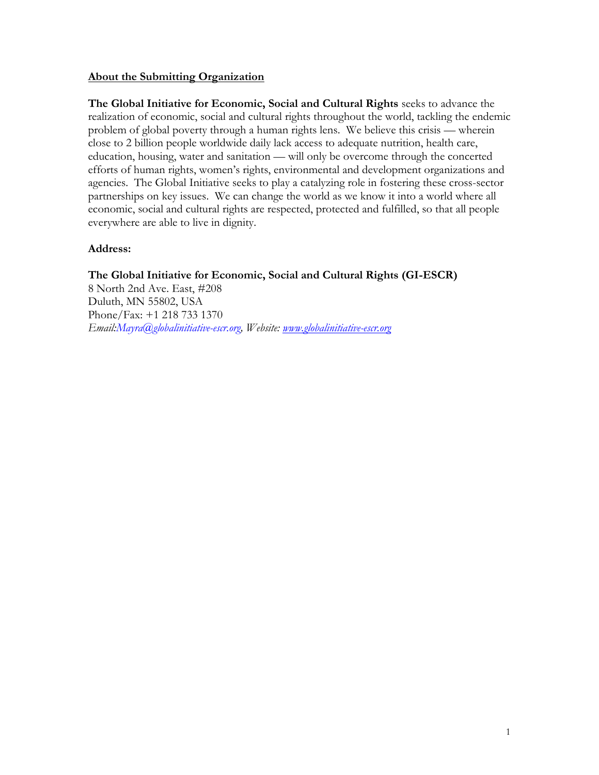#### **About the Submitting Organization**

**The Global Initiative for Economic, Social and Cultural Rights** seeks to advance the realization of economic, social and cultural rights throughout the world, tackling the endemic problem of global poverty through a human rights lens. We believe this crisis — wherein close to 2 billion people worldwide daily lack access to adequate nutrition, health care, education, housing, water and sanitation — will only be overcome through the concerted efforts of human rights, women's rights, environmental and development organizations and agencies. The Global Initiative seeks to play a catalyzing role in fostering these cross-sector partnerships on key issues. We can change the world as we know it into a world where all economic, social and cultural rights are respected, protected and fulfilled, so that all people everywhere are able to live in dignity.

#### **Address:**

### **The Global Initiative for Economic, Social and Cultural Rights (GI-ESCR)**

8 North 2nd Ave. East, #208 Duluth, MN 55802, USA Phone/Fax: +1 218 733 1370 *Email:Mayra@globalinitiative-escr.org, Website: [www.globalinitiative-escr.org](http://www.globalinitiative-escr.org/)*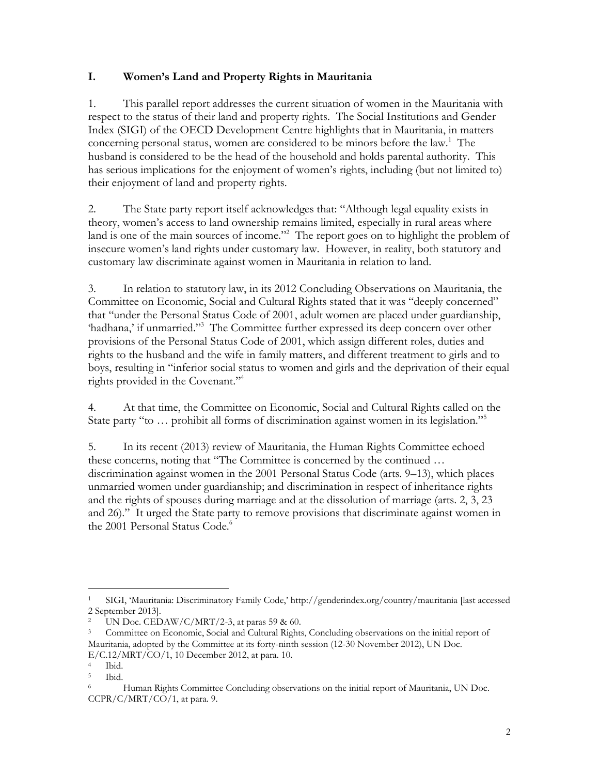## **I. Women's Land and Property Rights in Mauritania**

1. This parallel report addresses the current situation of women in the Mauritania with respect to the status of their land and property rights. The Social Institutions and Gender Index (SIGI) of the OECD Development Centre highlights that in Mauritania, in matters concerning personal status, women are considered to be minors before the law.<sup>1</sup> The husband is considered to be the head of the household and holds parental authority. This has serious implications for the enjoyment of women's rights, including (but not limited to) their enjoyment of land and property rights.

2. The State party report itself acknowledges that: "Although legal equality exists in theory, women's access to land ownership remains limited, especially in rural areas where land is one of the main sources of income."<sup>2</sup> The report goes on to highlight the problem of insecure women's land rights under customary law. However, in reality, both statutory and customary law discriminate against women in Mauritania in relation to land.

3. In relation to statutory law, in its 2012 Concluding Observations on Mauritania, the Committee on Economic, Social and Cultural Rights stated that it was "deeply concerned" that "under the Personal Status Code of 2001, adult women are placed under guardianship, 'hadhana,' if unmarried."<sup>3</sup> The Committee further expressed its deep concern over other provisions of the Personal Status Code of 2001, which assign different roles, duties and rights to the husband and the wife in family matters, and different treatment to girls and to boys, resulting in "inferior social status to women and girls and the deprivation of their equal rights provided in the Covenant."<sup>4</sup>

4. At that time, the Committee on Economic, Social and Cultural Rights called on the State party "to ... prohibit all forms of discrimination against women in its legislation."<sup>5</sup>

5. In its recent (2013) review of Mauritania, the Human Rights Committee echoed these concerns, noting that "The Committee is concerned by the continued … discrimination against women in the 2001 Personal Status Code (arts. 9–13), which places unmarried women under guardianship; and discrimination in respect of inheritance rights and the rights of spouses during marriage and at the dissolution of marriage (arts. 2, 3, 23 and 26)." It urged the State party to remove provisions that discriminate against women in the 2001 Personal Status Code.<sup>6</sup>

 $\overline{a}$ 

<sup>1</sup> SIGI, 'Mauritania: Discriminatory Family Code,' http://genderindex.org/country/mauritania [last accessed 2 September 2013].

UN Doc. CEDAW/C/MRT/2-3, at paras 59 & 60.

<sup>3</sup> Committee on Economic, Social and Cultural Rights, Concluding observations on the initial report of Mauritania, adopted by the Committee at its forty-ninth session (12-30 November 2012), UN Doc. E/C.12/MRT/CO/1, 10 December 2012, at para. 10.

 $\frac{4}{5}$  Ibid.

Ibid.

<sup>&</sup>lt;sup>6</sup> Human Rights Committee Concluding observations on the initial report of Mauritania, UN Doc. CCPR/C/MRT/CO/1, at para. 9.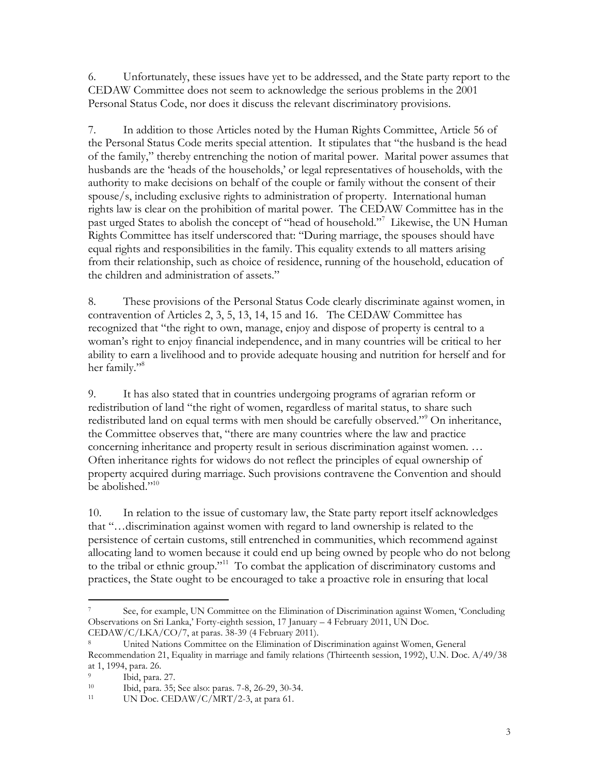6. Unfortunately, these issues have yet to be addressed, and the State party report to the CEDAW Committee does not seem to acknowledge the serious problems in the 2001 Personal Status Code, nor does it discuss the relevant discriminatory provisions.

7. In addition to those Articles noted by the Human Rights Committee, Article 56 of the Personal Status Code merits special attention. It stipulates that "the husband is the head of the family," thereby entrenching the notion of marital power. Marital power assumes that husbands are the 'heads of the households,' or legal representatives of households, with the authority to make decisions on behalf of the couple or family without the consent of their spouse/s, including exclusive rights to administration of property. International human rights law is clear on the prohibition of marital power. The CEDAW Committee has in the past urged States to abolish the concept of "head of household."<sup>7</sup> Likewise, the UN Human Rights Committee has itself underscored that: "During marriage, the spouses should have equal rights and responsibilities in the family. This equality extends to all matters arising from their relationship, such as choice of residence, running of the household, education of the children and administration of assets."

8. These provisions of the Personal Status Code clearly discriminate against women, in contravention of Articles 2, 3, 5, 13, 14, 15 and 16. The CEDAW Committee has recognized that "the right to own, manage, enjoy and dispose of property is central to a woman's right to enjoy financial independence, and in many countries will be critical to her ability to earn a livelihood and to provide adequate housing and nutrition for herself and for her family."<sup>8</sup>

9. It has also stated that in countries undergoing programs of agrarian reform or redistribution of land "the right of women, regardless of marital status, to share such redistributed land on equal terms with men should be carefully observed."<sup>9</sup> On inheritance, the Committee observes that, "there are many countries where the law and practice concerning inheritance and property result in serious discrimination against women. … Often inheritance rights for widows do not reflect the principles of equal ownership of property acquired during marriage. Such provisions contravene the Convention and should be abolished." $10^{10}$ 

10. In relation to the issue of customary law, the State party report itself acknowledges that "…discrimination against women with regard to land ownership is related to the persistence of certain customs, still entrenched in communities, which recommend against allocating land to women because it could end up being owned by people who do not belong to the tribal or ethnic group."<sup>11</sup> To combat the application of discriminatory customs and practices, the State ought to be encouraged to take a proactive role in ensuring that local

 $\overline{a}$ <sup>7</sup> See, for example, UN Committee on the Elimination of Discrimination against Women, 'Concluding Observations on Sri Lanka,' Forty-eighth session, 17 January – 4 February 2011, UN Doc. CEDAW/C/LKA/CO/7, at paras. 38-39 (4 February 2011).

United Nations Committee on the Elimination of Discrimination against Women, General Recommendation 21, Equality in marriage and family relations (Thirteenth session, 1992), U.N. Doc. A/49/38 at 1, 1994, para. 26.

<sup>&</sup>lt;sup>9</sup> Ibid, para. 27.

<sup>10</sup> <sup>10</sup> Ibid, para. 35; See also: paras. 7-8, 26-29, 30-34.<br><sup>11</sup> INDoc CEDAW/C/MRT/2-3, at para 61

UN Doc. CEDAW/C/MRT/2-3, at para 61.